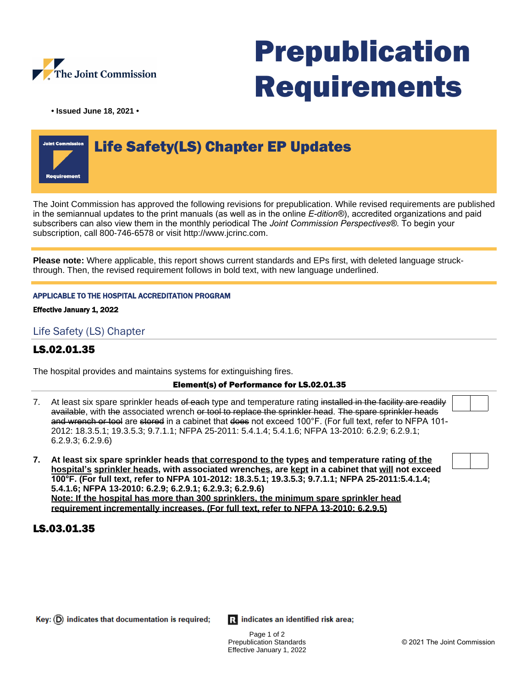

# Prepublication Requirements

**• Issued June 18, 2021 •**

# Life Safety(LS) Chapter EP Updates

The Joint Commission has approved the following revisions for prepublication. While revised requirements are published in the semiannual updates to the print manuals (as well as in the online *E-dition®*), accredited organizations and paid subscribers can also view them in the monthly periodical The *Joint Commission Perspectives®*. To begin your subscription, call 800-746-6578 or visit http://www.jcrinc.com.

**Please note:** Where applicable, this report shows current standards and EPs first, with deleted language struckthrough. Then, the revised requirement follows in bold text, with new language underlined.

#### APPLICABLE TO THE HOSPITAL ACCREDITATION PROGRAM

Effective January 1, 2022

# Life Safety (LS) Chapter

# LS.02.01.35

The hospital provides and maintains systems for extinguishing fires.

#### Element(s) of Performance for LS.02.01.35

- 7. At least six spare sprinkler heads of each type and temperature rating installed in the facility are readily available, with the associated wrench or tool to replace the sprinkler head. The spare sprinkler heads and wrench or tool are stored in a cabinet that does not exceed 100°F. (For full text, refer to NFPA 101-2012: 18.3.5.1; 19.3.5.3; 9.7.1.1; NFPA 25-2011: 5.4.1.4; 5.4.1.6; NFPA 13-2010: 6.2.9; 6.2.9.1; 6.2.9.3; 6.2.9.6)
- **7. At least six spare sprinkler heads that correspond to the types and temperature rating of the hospital's sprinkler heads, with associated wrenches, are kept in a cabinet that will not exceed 100°F. (For full text, refer to NFPA 101-2012: 18.3.5.1; 19.3.5.3; 9.7.1.1; NFPA 25-2011:5.4.1.4; 5.4.1.6; NFPA 13-2010: 6.2.9; 6.2.9.1; 6.2.9.3; 6.2.9.6) Note: If the hospital has more than 300 sprinklers, the minimum spare sprinkler head requirement incrementally increases. (For full text, refer to NFPA 13-2010: 6.2.9.5)**

### LS.03.01.35

Ri indicates an identified risk area;

Page 1 of 2 Prepublication Standards Effective January 1, 2022